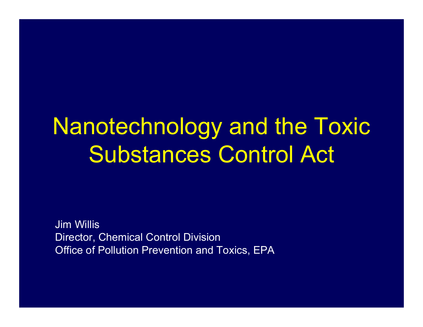## Nanotechnology and the Toxic Substances Control Act

Jim Willis Director, Chemical Control Division Office of Pollution Prevention and Toxics, EPA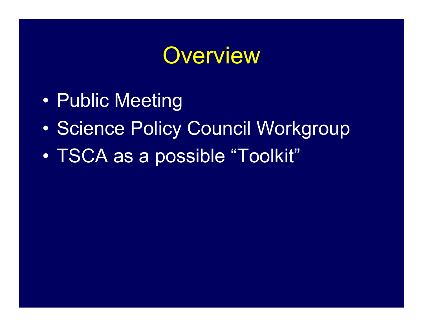#### **Overview**

- •Public Meeting
- $\bullet$ Science Policy Council Workgroup
- $\bullet$ TSCA as a possible "Toolkit"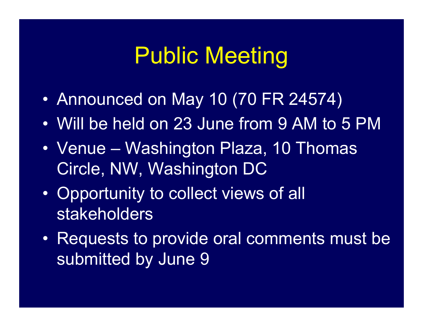## Public Meeting

- $\bullet$ Announced on May 10 (70 FR 24574)
- Will be held on 23 June from 9 AM to 5 PM
- Venue Washington Plaza, 10 Thomas Circle, NW, Washington DC
- $\bullet$  Opportunity to collect views of all stakeholders
- Requests to provide oral comments must be submitted by June 9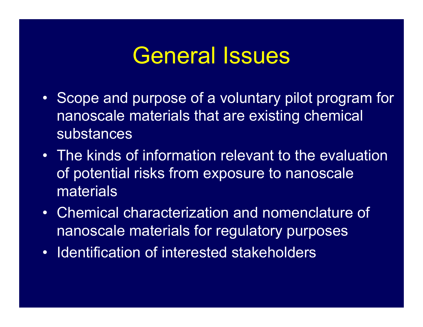#### General Issues

- Scope and purpose of a voluntary pilot program for nanoscale materials that are existing chemical substances
- The kinds of information relevant to the evaluation of potential risks from exposure to nanoscale materials
- Chemical characterization and nomenclature of nanoscale materials for regulatory purposes
- Identification of interested stakeholders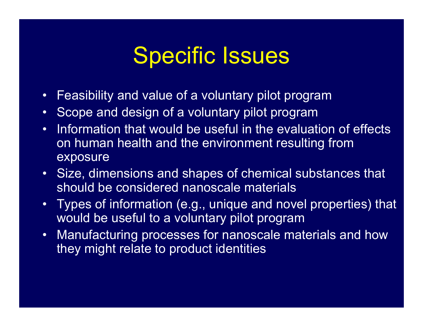## Specific Issues

- $\bullet$ Feasibility and value of a voluntary pilot program
- $\bullet$ Scope and design of a voluntary pilot program
- Information that would be useful in the evaluation of effects on human health and the environment resulting from exposure
- Size, dimensions and shapes of chemical substances that should be considered nanoscale materials
- Types of information (e.g., unique and novel properties) that would be useful to a voluntary pilot program
- Manufacturing processes for nanoscale materials and how they might relate to product identities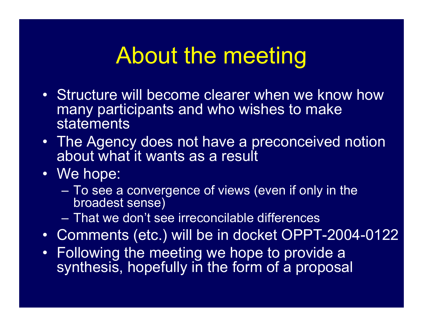## About the meeting

- Structure will become clearer when we know how many participants and who wishes to make statements
- The Agency does not have a preconceived notion about what it wants as a result
- We hope:
	- To see a convergence of views (even if only in the broadest sense)
	- That we don't see irreconcilable differences
- Comments (etc.) will be in docket OPPT-2004-0122
- Following the meeting we hope to provide a synthesis, hopefully in the form of a proposal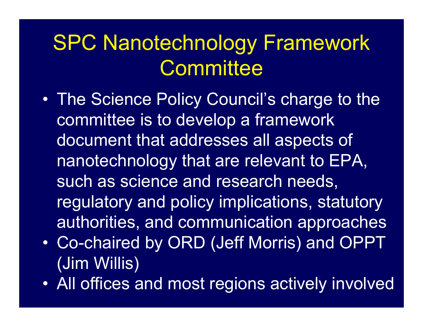#### SPC Nanotechnology Framework **Committee**

- $\bullet$  The Science Policy Council's charge to the committee is to develop a framework document that addresses all aspects of nanotechnology that are relevant to EPA, such as science and research needs, regulatory and policy implications, statutory authorities, and communication approaches
- $\bullet$  Co-chaired by ORD (Jeff Morris) and OPPT (Jim Willis)
- $\bullet$ All offices and most regions actively involved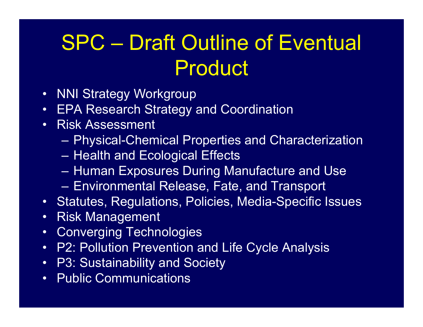### SPC – Draft Outline of Eventual Product

- NNI Strategy Workgroup
- EPA Research Strategy and Coordination
- • Risk Assessment
	- Physical-Chemical Properties and Characterization
	- Health and Ecological Effects
	- Human Exposures During Manufacture and Use
	- $\mathcal{L}_{\mathcal{A}}$ Environmental Release, Fate, and Transport
- Statutes, Regulations, Policies, Media-Specific Issues
- $\bullet$ Risk Management
- $\bullet$ Converging Technologies
- P2: Pollution Prevention and Life Cycle Analysis
- P3: Sustainability and Society
- Public Communications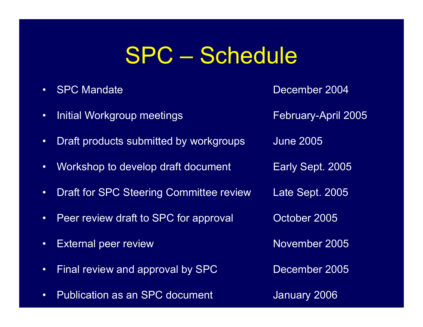## SPC – Schedule

- •
- $\bullet$ Initial Workgroup meetings The Rebruary-April 2005
- $\bullet$ Draft products submitted by workgroups June 2005
- •Workshop to develop draft document Early Sept. 2005
- $\bullet$ Draft for SPC Steering Committee review Late Sept. 2005
- •Peer review draft to SPC for approval October 2005
- •External peer review November 2005
- $\bullet$ Final review and approval by SPC December 2005
- •Publication as an SPC document January 2006

SPC Mandate **December 2004**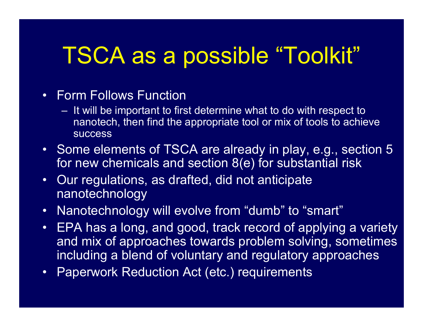## TSCA as a possible "Toolkit"

#### • Form Follows Function

- It will be important to first determine what to do with respect to nanotech, then find the appropriate tool or mix of tools to achieve success
- Some elements of TSCA are already in play, e.g., section 5 for new chemicals and section 8(e) for substantial risk
- Our regulations, as drafted, did not anticipate nanotechnology
- $\bullet$ Nanotechnology will evolve from "dumb" to "smart"
- EPA has a long, and good, track record of applying a variety and mix of approaches towards problem solving, sometimes including a blend of voluntary and regulatory approaches
- Paperwork Reduction Act (etc.) requirements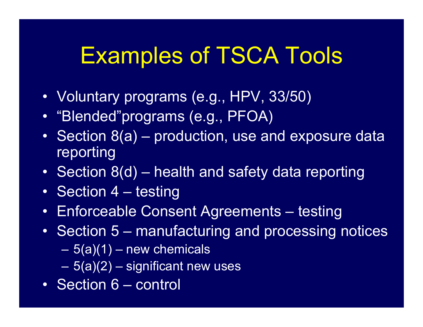## Examples of TSCA Tools

- Voluntary programs (e.g., HPV, 33/50)
- "Blended"programs (e.g., PFOA)
- Section 8(a) production, use and exposure data reporting
- Section 8(d) health and safety data reporting
- Section 4 testing
- Enforceable Consent Agreements testing
- Section 5 manufacturing and processing notices
	- 5(a)(1) new chemicals
	- 5(a)(2) significant new uses
- Section 6 control